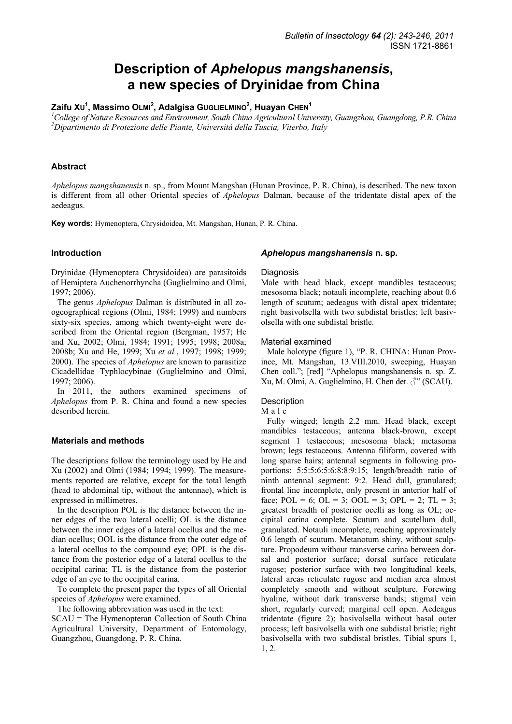# **Description of** *Aphelopus mangshanensis***, a new species of Dryinidae from China**

# $\mathsf{Z}$ aifu X∪ $^1$ , Massimo O∟мı $^2$ , Adalgisa G∪G∟ı́E∟мı́но $^2$ , Huayan Cн́Éн $^1$

<sup>1</sup>College of Nature Resources and Environment, South China Agricultural University, Guangzhou, Guangdong, P.R. China<br><sup>2</sup>Dinastimente di Puetezione delle Piente, Università della Tuggia, Vitarbe, Italy *Dipartimento di Protezione delle Piante, Università della Tuscia, Viterbo, Italy* 

## **Abstract**

*Aphelopus mangshanensis* n. sp., from Mount Mangshan (Hunan Province, P. R. China), is described. The new taxon is different from all other Oriental species of *Aphelopus* Dalman, because of the tridentate distal apex of the aedeagus.

**Key words:** Hymenoptera, Chrysidoidea, Mt. Mangshan, Hunan, P. R. China.

## **Introduction**

Dryinidae (Hymenoptera Chrysidoidea) are parasitoids of Hemiptera Auchenorrhyncha (Guglielmino and Olmi, 1997; 2006).

The genus *Aphelopus* Dalman is distributed in all zoogeographical regions (Olmi, 1984; 1999) and numbers sixty-six species, among which twenty-eight were described from the Oriental region (Bergman, 1957; He and Xu, 2002; Olmi, 1984; 1991; 1995; 1998; 2008a; 2008b; Xu and He, 1999; Xu *et al.*, 1997; 1998; 1999; 2000). The species of *Aphelopus* are known to parasitize Cicadellidae Typhlocybinae (Guglielmino and Olmi, 1997; 2006).

In 2011, the authors examined specimens of *Aphelopus* from P. R. China and found a new species described herein.

## **Materials and methods**

The descriptions follow the terminology used by He and Xu (2002) and Olmi (1984; 1994; 1999). The measurements reported are relative, except for the total length (head to abdominal tip, without the antennae), which is expressed in millimetres.

In the description POL is the distance between the inner edges of the two lateral ocelli; OL is the distance between the inner edges of a lateral ocellus and the median ocellus; OOL is the distance from the outer edge of a lateral ocellus to the compound eye; OPL is the distance from the posterior edge of a lateral ocellus to the occipital carina; TL is the distance from the posterior edge of an eye to the occipital carina.

To complete the present paper the types of all Oriental species of *Aphelopus* were examined.

The following abbreviation was used in the text:

SCAU = The Hymenopteran Collection of South China Agricultural University, Department of Entomology, Guangzhou, Guangdong, P. R. China.

#### *Aphelopus mangshanensis* **n. sp.**

## **Diagnosis**

Male with head black, except mandibles testaceous; mesosoma black; notauli incomplete, reaching about 0.6 length of scutum; aedeagus with distal apex tridentate; right basivolsella with two subdistal bristles; left basivolsella with one subdistal bristle.

#### Material examined

Male holotype (figure 1), "P. R. CHINA: Hunan Province, Mt. Mangshan, 13.VIII.2010, sweeping, Huayan Chen coll."; [red] "Aphelopus mangshanensis n. sp. Z. Xu, M. Olmi, A. Guglielmino, H. Chen det.  $\mathcal{J}^{\prime\prime}$  (SCAU).

## **Description**

#### Male

Fully winged; length 2.2 mm. Head black, except mandibles testaceous; antenna black-brown, except segment 1 testaceous; mesosoma black; metasoma brown; legs testaceous. Antenna filiform, covered with long sparse hairs; antennal segments in following proportions: 5:5:5:6:5:6:8:8:9:15; length/breadth ratio of ninth antennal segment: 9:2. Head dull, granulated; frontal line incomplete, only present in anterior half of face; POL = 6; OL = 3; OOL = 3; OPL = 2; TL = 3; greatest breadth of posterior ocelli as long as OL; occipital carina complete. Scutum and scutellum dull, granulated. Notauli incomplete, reaching approximately 0.6 length of scutum. Metanotum shiny, without sculpture. Propodeum without transverse carina between dorsal and posterior surface; dorsal surface reticulate rugose; posterior surface with two longitudinal keels, lateral areas reticulate rugose and median area almost completely smooth and without sculpture. Forewing hyaline, without dark transverse bands; stigmal vein short, regularly curved; marginal cell open. Aedeagus tridentate (figure 2); basivolsella without basal outer process; left basivolsella with one subdistal bristle; right basivolsella with two subdistal bristles. Tibial spurs 1, 1, 2.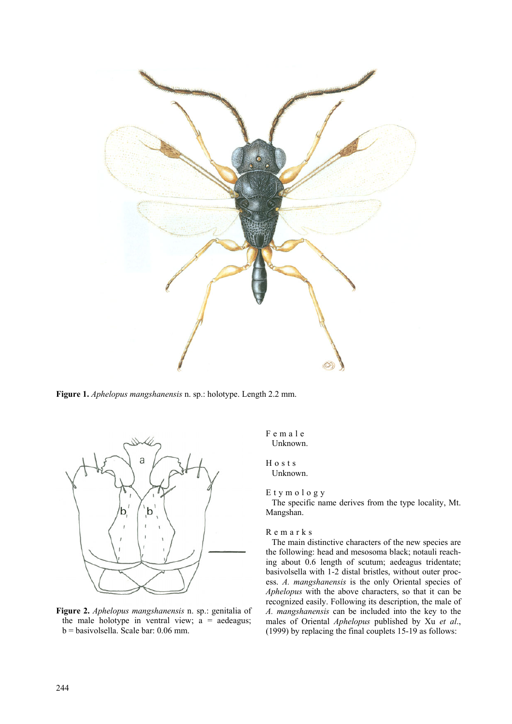

**Figure 1.** *Aphelopus mangshanensis* n. sp.: holotype. Length 2.2 mm.



**Figure 2.** *Aphelopus mangshanensis* n. sp.: genitalia of the male holotype in ventral view;  $a =$  aedeagus; b = basivolsella. Scale bar: 0.06 mm.

Female Unknown.

#### Hosts Unknown.

Etymology

The specific name derives from the type locality, Mt. Mangshan.

## Remarks

The main distinctive characters of the new species are the following: head and mesosoma black; notauli reaching about 0.6 length of scutum; aedeagus tridentate; basivolsella with 1-2 distal bristles, without outer process. *A. mangshanensis* is the only Oriental species of *Aphelopus* with the above characters, so that it can be recognized easily. Following its description, the male of *A. mangshanensis* can be included into the key to the males of Oriental *Aphelopus* published by Xu *et al*., (1999) by replacing the final couplets 15-19 as follows: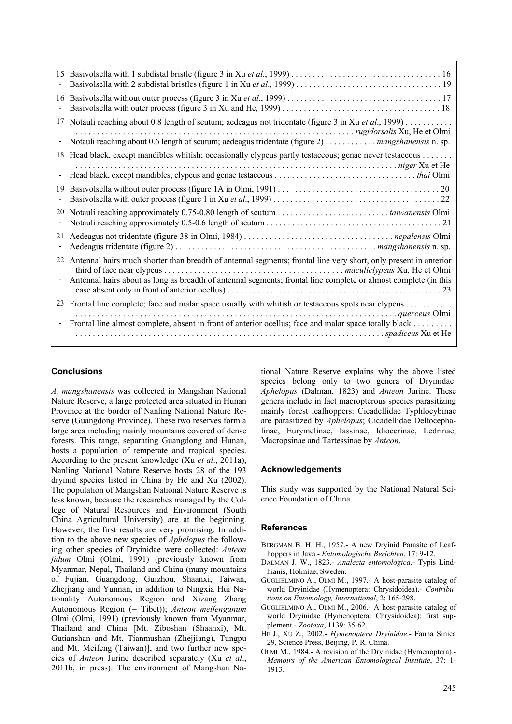| 15                       |                                                                                                                  |
|--------------------------|------------------------------------------------------------------------------------------------------------------|
| 16                       |                                                                                                                  |
| 17                       | Notauli reaching about 0.8 length of scutum; aedeagus not tridentate (figure 3 in Xu et al., 1999)               |
| ۰                        | Notauli reaching about 0.6 length of scutum; aedeagus tridentate (figure 2) mangshanensis n. sp.                 |
| 18                       | Head black, except mandibles whitish; occasionally clypeus partly testaceous; genae never testaceous             |
| $\overline{\phantom{0}}$ |                                                                                                                  |
| 19                       |                                                                                                                  |
| 20                       |                                                                                                                  |
| 21                       |                                                                                                                  |
| 22                       | Antennal hairs much shorter than breadth of antennal segments; frontal line very short, only present in anterior |
| $\overline{\phantom{a}}$ | Antennal hairs about as long as breadth of antennal segments; frontal line complete or almost complete (in this  |
| 23                       | Frontal line complete; face and malar space usually with whitish or testaceous spots near clypeus                |
|                          | Frontal line almost complete, absent in front of anterior ocellus; face and malar space totally black            |
|                          |                                                                                                                  |

# **Conclusions**

*A. mangshanensis* was collected in Mangshan National Nature Reserve, a large protected area situated in Hunan Province at the border of Nanling National Nature Reserve (Guangdong Province). These two reserves form a large area including mainly mountains covered of dense forests. This range, separating Guangdong and Hunan, hosts a population of temperate and tropical species. According to the present knowledge (Xu *et al*., 2011a), Nanling National Nature Reserve hosts 28 of the 193 dryinid species listed in China by He and Xu (2002). The population of Mangshan National Nature Reserve is less known, because the researches managed by the College of Natural Resources and Environment (South China Agricultural University) are at the beginning. However, the first results are very promising. In addition to the above new species of *Aphelopus* the following other species of Dryinidae were collected: *Anteon fidum* Olmi (Olmi, 1991) (previously known from Myanmar, Nepal, Thailand and China (many mountains of Fujian, Guangdong, Guizhou, Shaanxi, Taiwan, Zhejjiang and Yunnan, in addition to Ningxia Hui Nationality Autonomous Region and Xizang Zhang Autonomous Region (= Tibet)); *Anteon meifenganum* Olmi (Olmi, 1991) (previously known from Myanmar, Thailand and China [Mt. Ziboshan (Shaanxi), Mt. Gutianshan and Mt. Tianmushan (Zhejjiang), Tungpu and Mt. Meifeng (Taiwan)], and two further new species of *Anteon* Jurine described separately (Xu *et al*., 2011b, in press). The environment of Mangshan Na-

tional Nature Reserve explains why the above listed species belong only to two genera of Dryinidae: *Aphelopus* (Dalman, 1823) and *Anteon* Jurine. These genera include in fact macropterous species parasitizing mainly forest leafhoppers: Cicadellidae Typhlocybinae are parasitized by *Aphelopus*; Cicadellidae Deltocephalinae, Eurymelinae, Iassinae, Idiocerinae, Ledrinae, Macropsinae and Tartessinae by *Anteon*.

# **Acknowledgements**

This study was supported by the National Natural Science Foundation of China.

# **References**

- BERGMAN B. H. H., 1957.- A new Dryinid Parasite of Leafhoppers in Java.- *Entomologische Berichten*, 17: 9-12.
- DALMAN J. W., 1823.- *Analecta entomologica*.- Typis Lindhianis, Holmiae, Sweden.
- GUGLIELMINO A., OLMI M., 1997.- A host-parasite catalog of world Dryinidae (Hymenoptera: Chrysidoidea).- *Contributions on Entomology, International*, 2: 165-298.
- GUGLIELMINO A., OLMI M., 2006.- A host-parasite catalog of world Dryinidae (Hymenoptera: Chrysidoidea): first supplement.- *Zootaxa*, 1139: 35-62.
- HE J., XU Z., 2002.- *Hymenoptera Dryinidae*.- Fauna Sinica 29, Science Press, Beijing, P. R. China.
- OLMI M., 1984.- A revision of the Dryinidae (Hymenoptera)*. Memoirs of the American Entomological Institute*, 37: 1- 1913.